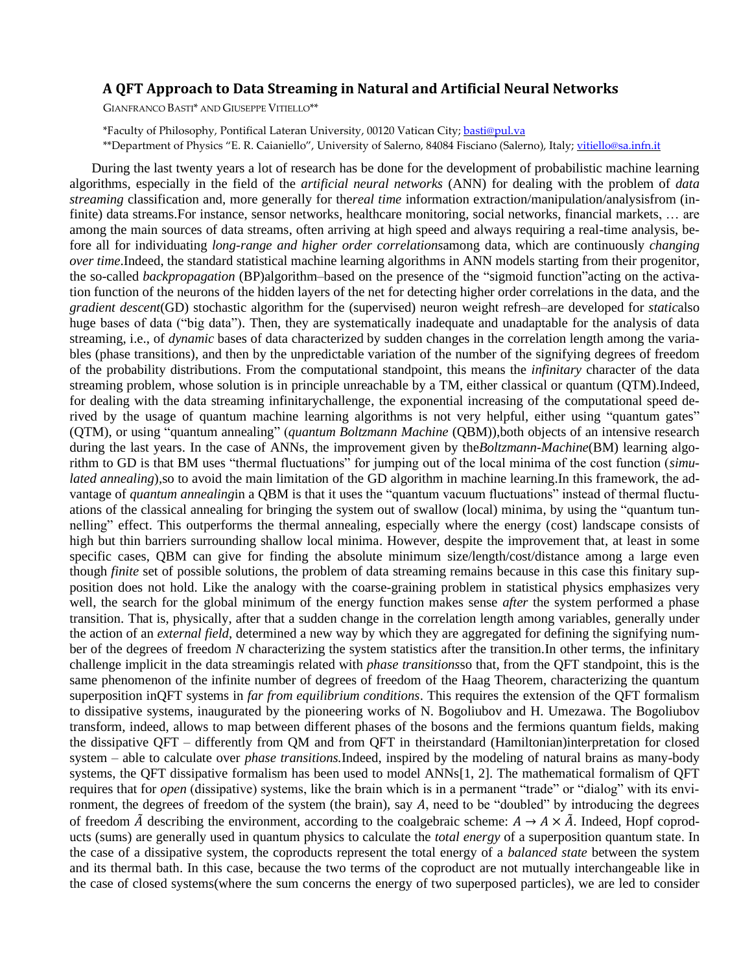## **A QFT Approach to Data Streaming in Natural and Artificial Neural Networks**

GIANFRANCO BASTI\* AND GIUSEPPE VITIELLO\*\*

\*Faculty of Philosophy, Pontifical Lateran University, 00120 Vatican City; [basti@pul.va](mailto:basti@pul.va) \*\*Department of Physics "E. R. Caianiello", University of Salerno, 84084 Fisciano (Salerno), Italy; [vitiello@sa.infn.it](mailto:vitiello@sa.infn.it)

During the last twenty years a lot of research has be done for the development of probabilistic machine learning algorithms, especially in the field of the *artificial neural networks* (ANN) for dealing with the problem of *data streaming* classification and, more generally for the*real time* information extraction/manipulation/analysisfrom (infinite) data streams.For instance, sensor networks, healthcare monitoring, social networks, financial markets, … are among the main sources of data streams, often arriving at high speed and always requiring a real-time analysis, before all for individuating *long-range and higher order correlations*among data, which are continuously *changing over time*.Indeed, the standard statistical machine learning algorithms in ANN models starting from their progenitor, the so-called *backpropagation* (BP)algorithm–based on the presence of the "sigmoid function"acting on the activation function of the neurons of the hidden layers of the net for detecting higher order correlations in the data, and the *gradient descent*(GD) stochastic algorithm for the (supervised) neuron weight refresh–are developed for *static*also huge bases of data ("big data"). Then, they are systematically inadequate and unadaptable for the analysis of data streaming, i.e., of *dynamic* bases of data characterized by sudden changes in the correlation length among the variables (phase transitions), and then by the unpredictable variation of the number of the signifying degrees of freedom of the probability distributions. From the computational standpoint, this means the *infinitary* character of the data streaming problem, whose solution is in principle unreachable by a TM, either classical or quantum (QTM).Indeed, for dealing with the data streaming infinitarychallenge, the exponential increasing of the computational speed derived by the usage of quantum machine learning algorithms is not very helpful, either using "quantum gates" (QTM), or using "quantum annealing" (*quantum Boltzmann Machine* (QBM)),both objects of an intensive research during the last years. In the case of ANNs, the improvement given by the*Boltzmann-Machine*(BM) learning algorithm to GD is that BM uses "thermal fluctuations" for jumping out of the local minima of the cost function (*simulated annealing*),so to avoid the main limitation of the GD algorithm in machine learning. In this framework, the advantage of *quantum annealing*in a QBM is that it uses the "quantum vacuum fluctuations" instead of thermal fluctuations of the classical annealing for bringing the system out of swallow (local) minima, by using the "quantum tunnelling" effect. This outperforms the thermal annealing, especially where the energy (cost) landscape consists of high but thin barriers surrounding shallow local minima. However, despite the improvement that, at least in some specific cases, QBM can give for finding the absolute minimum size/length/cost/distance among a large even though *finite* set of possible solutions, the problem of data streaming remains because in this case this finitary supposition does not hold. Like the analogy with the coarse-graining problem in statistical physics emphasizes very well, the search for the global minimum of the energy function makes sense *after* the system performed a phase transition. That is, physically, after that a sudden change in the correlation length among variables, generally under the action of an *external field*, determined a new way by which they are aggregated for defining the signifying number of the degrees of freedom *N* characterizing the system statistics after the transition.In other terms, the infinitary challenge implicit in the data streamingis related with *phase transitions*so that, from the QFT standpoint, this is the same phenomenon of the infinite number of degrees of freedom of the Haag Theorem, characterizing the quantum superposition inQFT systems in *far from equilibrium conditions*. This requires the extension of the QFT formalism to dissipative systems, inaugurated by the pioneering works of N. Bogoliubov and H. Umezawa. The Bogoliubov transform, indeed, allows to map between different phases of the bosons and the fermions quantum fields, making the dissipative QFT – differently from QM and from QFT in theirstandard (Hamiltonian)interpretation for closed system – able to calculate over *phase transitions.*Indeed, inspired by the modeling of natural brains as many-body systems, the QFT dissipative formalism has been used to model ANNs[1, 2]. The mathematical formalism of QFT requires that for *open* (dissipative) systems, like the brain which is in a permanent "trade" or "dialog" with its environment, the degrees of freedom of the system (the brain), say  $A$ , need to be "doubled" by introducing the degrees of freedom  $\tilde{A}$  describing the environment, according to the coalgebraic scheme:  $A \rightarrow A \times \tilde{A}$ . Indeed, Hopf coproducts (sums) are generally used in quantum physics to calculate the *total energy* of a superposition quantum state. In the case of a dissipative system, the coproducts represent the total energy of a *balanced state* between the system and its thermal bath. In this case, because the two terms of the coproduct are not mutually interchangeable like in the case of closed systems(where the sum concerns the energy of two superposed particles), we are led to consider